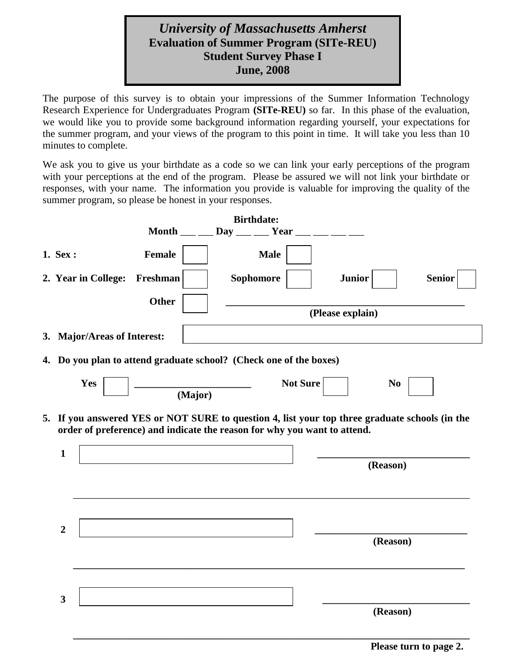## *University of Massachusetts Amherst* **Evaluation of Summer Program (SITe-REU) Student Survey Phase I June, 2008**

The purpose of this survey is to obtain your impressions of the Summer Information Technology Research Experience for Undergraduates Program **(SITe-REU)** so far. In this phase of the evaluation, we would like you to provide some background information regarding yourself, your expectations for the summer program, and your views of the program to this point in time. It will take you less than 10 minutes to complete.

We ask you to give us your birthdate as a code so we can link your early perceptions of the program with your perceptions at the end of the program. Please be assured we will not link your birthdate or responses, with your name. The information you provide is valuable for improving the quality of the summer program, so please be honest in your responses.

|                             |               | <b>Birthdate:</b>                                                                                                                                                          |                  |               |
|-----------------------------|---------------|----------------------------------------------------------------------------------------------------------------------------------------------------------------------------|------------------|---------------|
|                             | <b>Month</b>  | $\mathbf{Day}$<br>Year                                                                                                                                                     |                  |               |
| 1. Sex :                    | <b>Female</b> | <b>Male</b>                                                                                                                                                                |                  |               |
| 2. Year in College:         | Freshman      | Sophomore                                                                                                                                                                  | <b>Junior</b>    | <b>Senior</b> |
|                             | Other         |                                                                                                                                                                            | (Please explain) |               |
| 3. Major/Areas of Interest: |               |                                                                                                                                                                            |                  |               |
|                             |               | 4. Do you plan to attend graduate school? (Check one of the boxes)                                                                                                         |                  |               |
| Yes                         | (Major)       | <b>Not Sure</b>                                                                                                                                                            | N <sub>0</sub>   |               |
| $\mathbf{1}$                |               | 5. If you answered YES or NOT SURE to question 4, list your top three graduate schools (in the<br>order of preference) and indicate the reason for why you want to attend. | (Reason)         |               |
| $\overline{2}$              |               |                                                                                                                                                                            | (Reason)         |               |
| $\mathbf{3}$                |               |                                                                                                                                                                            | (Reason)         |               |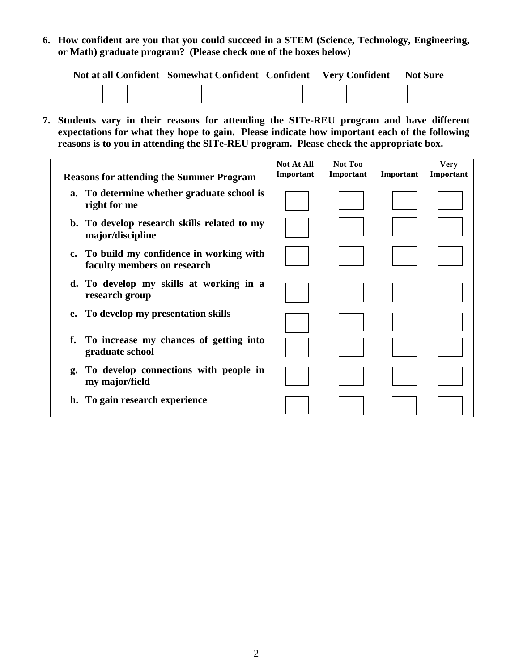**6. How confident are you that you could succeed in a STEM (Science, Technology, Engineering, or Math) graduate program? (Please check one of the boxes below)**

| Not at all Confident Somewhat Confident Confident Very Confident |  | <b>Not Sure</b> |
|------------------------------------------------------------------|--|-----------------|
|                                                                  |  |                 |

**7. Students vary in their reasons for attending the SITe-REU program and have different expectations for what they hope to gain. Please indicate how important each of the following reasons is to you in attending the SITe-REU program. Please check the appropriate box.**

| <b>Reasons for attending the Summer Program</b>                                         | <b>Not At All</b><br>Important | Not Too<br>Important | Important | <b>Very</b><br>Important |
|-----------------------------------------------------------------------------------------|--------------------------------|----------------------|-----------|--------------------------|
| a. To determine whether graduate school is<br>right for me                              |                                |                      |           |                          |
| b. To develop research skills related to my<br>major/discipline                         |                                |                      |           |                          |
| To build my confidence in working with<br>$\mathbf{c}$ .<br>faculty members on research |                                |                      |           |                          |
| d. To develop my skills at working in a<br>research group                               |                                |                      |           |                          |
| To develop my presentation skills<br>e.                                                 |                                |                      |           |                          |
| To increase my chances of getting into<br>graduate school                               |                                |                      |           |                          |
| To develop connections with people in<br>g.<br>my major/field                           |                                |                      |           |                          |
| h. To gain research experience                                                          |                                |                      |           |                          |